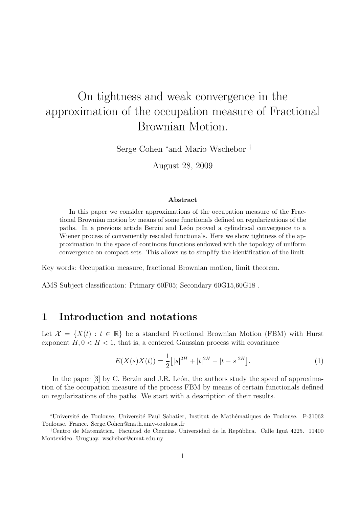# On tightness and weak convergence in the approximation of the occupation measure of Fractional Brownian Motion.

Serge Cohen <sup>∗</sup>and Mario Wschebor †

August 28, 2009

#### Abstract

In this paper we consider approximations of the occupation measure of the Fractional Brownian motion by means of some functionals defined on regularizations of the paths. In a previous article Berzin and León proved a cylindrical convergence to a Wiener process of conveniently rescaled functionals. Here we show tightness of the approximation in the space of continous functions endowed with the topology of uniform convergence on compact sets. This allows us to simplify the identification of the limit.

Key words: Occupation measure, fractional Brownian motion, limit theorem.

AMS Subject classification: Primary 60F05; Secondary 60G15,60G18 .

### 1 Introduction and notations

Let  $\mathcal{X} = \{X(t): t \in \mathbb{R}\}\$ be a standard Fractional Brownian Motion (FBM) with Hurst exponent  $H, 0 < H < 1$ , that is, a centered Gaussian process with covariance

$$
E(X(s)X(t)) = \frac{1}{2} [ |s|^{2H} + |t|^{2H} - |t - s|^{2H} ]. \tag{1}
$$

In the paper  $[3]$  by C. Berzin and J.R. León, the authors study the speed of approximation of the occupation measure of the process FBM by means of certain functionals defined on regularizations of the paths. We start with a description of their results.

<sup>∗</sup>Universit´e de Toulouse, Universit´e Paul Sabatier, Institut de Math´ematiques de Toulouse. F-31062 Toulouse. France. Serge.Cohen@math.univ-toulouse.fr

<sup>&</sup>lt;sup>†</sup>Centro de Matemática. Facultad de Ciencias. Universidad de la República. Calle Iguá 4225. 11400 Montevideo. Uruguay. wschebor@cmat.edu.uy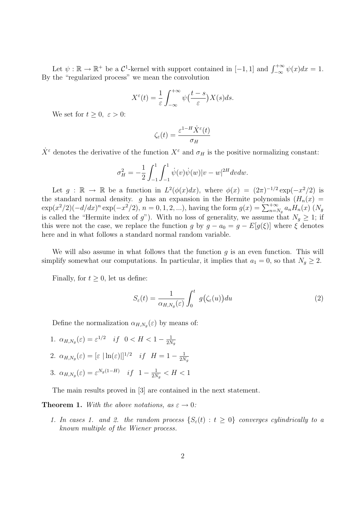Let  $\psi : \mathbb{R} \to \mathbb{R}^+$  be a  $\mathcal{C}^1$ -kernel with support contained in  $[-1, 1]$  and  $\int_{-\infty}^{+\infty} \psi(x) dx = 1$ . By the "regularized process" we mean the convolution

$$
X^{\varepsilon}(t) = \frac{1}{\varepsilon} \int_{-\infty}^{+\infty} \psi\left(\frac{t-s}{\varepsilon}\right) X(s) ds.
$$

We set for  $t \geq 0, \varepsilon > 0$ :

$$
\zeta_{\varepsilon}(t) = \frac{\varepsilon^{1-H} \dot{X}^{\varepsilon}(t)}{\sigma_H}
$$

 $\dot{X}^{\varepsilon}$  denotes the derivative of the function  $X^{\varepsilon}$  and  $\sigma_H$  is the positive normalizing constant:

$$
\sigma_H^2 = -\frac{1}{2} \int_{-1}^1 \int_{-1}^1 \dot{\psi}(v) \dot{\psi}(w) |v - w|^{2H} dv dw.
$$

Let  $g : \mathbb{R} \to \mathbb{R}$  be a function in  $L^2(\phi(x)dx)$ , where  $\phi(x) = (2\pi)^{-1/2} \exp(-x^2/2)$  is the standard normal density. g has an expansion in the Hermite polynomials  $(H_n(x))$  $\exp(x^2/2)(-d/dx)^n \exp(-x^2/2), n = 0, 1, 2, ...),$  having the form  $g(x) = \sum_{n=N_g}^{+\infty} a_n H_n(x)$   $(N_g)$ is called the "Hermite index of g"). With no loss of generality, we assume that  $N_g \geq 1$ ; if this were not the case, we replace the function g by  $g - a_0 = g - E[g(\xi)]$  where  $\xi$  denotes here and in what follows a standard normal random variable.

We will also assume in what follows that the function  $g$  is an even function. This will simplify somewhat our computations. In particular, it implies that  $a_1 = 0$ , so that  $N_g \geq 2$ .

Finally, for  $t \geq 0$ , let us define:

$$
S_{\varepsilon}(t) = \frac{1}{\alpha_{H,N_g}(\varepsilon)} \int_0^t g(\zeta_{\varepsilon}(u)) du \tag{2}
$$

Define the normalization  $\alpha_{H,N_g}(\varepsilon)$  by means of:

1.  $\alpha_{H,N_g}(\varepsilon) = \varepsilon^{1/2}$  if  $0 < H < 1 - \frac{1}{2N}$  $2N_g$ 2.  $\alpha_{H,N_g}(\varepsilon) = [\varepsilon \, |\ln(\varepsilon)|]^{1/2}$  if  $H = 1 - \frac{1}{2N_g}$  $2N_g$ 3.  $\alpha_{H,N_g}(\varepsilon) = \varepsilon^{N_g(1-H)}$  if  $1-\frac{1}{2N_g}$  $\frac{1}{2N_g} < H < 1$ 

The main results proved in [3] are contained in the next statement.

**Theorem 1.** With the above notations, as  $\varepsilon \to 0$ :

1. In cases 1. and 2. the random process  $\{S_{\varepsilon}(t): t \geq 0\}$  converges cylindrically to a known multiple of the Wiener process.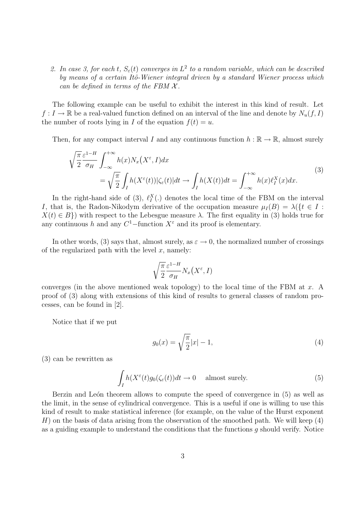2. In case 3, for each t,  $S_{\varepsilon}(t)$  converges in  $L^2$  to a random variable, which can be described by means of a certain Itô-Wiener integral driven by a standard Wiener process which can be defined in terms of the FBM  $\mathcal{X}$ .

The following example can be useful to exhibit the interest in this kind of result. Let  $f: I \to \mathbb{R}$  be a real-valued function defined on an interval of the line and denote by  $N_u(f, I)$ the number of roots lying in I of the equation  $f(t) = u$ .

Then, for any compact interval I and any continuous function  $h : \mathbb{R} \to \mathbb{R}$ , almost surely

$$
\sqrt{\frac{\pi}{2}} \frac{\varepsilon^{1-H}}{\sigma_H} \int_{-\infty}^{+\infty} h(x) N_x \left(X^{\varepsilon}, I\right) dx
$$
\n
$$
= \sqrt{\frac{\pi}{2}} \int_I h(X^{\varepsilon}(t)) |\zeta_{\varepsilon}(t)| dt \to \int_I h(X(t)) dt = \int_{-\infty}^{+\infty} h(x) \ell_I^X(x) dx.
$$
\n(3)

In the right-hand side of (3),  $\ell_I^X(.)$  denotes the local time of the FBM on the interval I, that is, the Radon-Nikodym derivative of the occupation measure  $\mu_I(B) = \lambda({t \in I :$  $X(t) \in B$ ) with respect to the Lebesgue measure  $\lambda$ . The first equality in (3) holds true for any continuous h and any  $C^1$ -function  $X^{\varepsilon}$  and its proof is elementary.

In other words, (3) says that, almost surely, as  $\varepsilon \to 0$ , the normalized number of crossings of the regularized path with the level  $x$ , namely:

$$
\sqrt{\frac{\pi}{2}}\frac{\varepsilon^{1-H}}{\sigma_H}N_x\big(X^{\varepsilon},I\big)
$$

converges (in the above mentioned weak topology) to the local time of the FBM at  $x$ . A proof of (3) along with extensions of this kind of results to general classes of random processes, can be found in [2].

Notice that if we put

$$
g_0(x) = \sqrt{\frac{\pi}{2}}|x| - 1,
$$
\n(4)

(3) can be rewritten as

$$
\int_{I} h(X^{\varepsilon}(t)g_{0}(\zeta_{\varepsilon}(t))dt \to 0 \quad \text{ almost surely.} \tag{5}
$$

Berzin and León theorem allows to compute the speed of convergence in (5) as well as the limit, in the sense of cylindrical convergence. This is a useful if one is willing to use this kind of result to make statistical inference (for example, on the value of the Hurst exponent  $H$ ) on the basis of data arising from the observation of the smoothed path. We will keep  $(4)$ as a guiding example to understand the conditions that the functions  $q$  should verify. Notice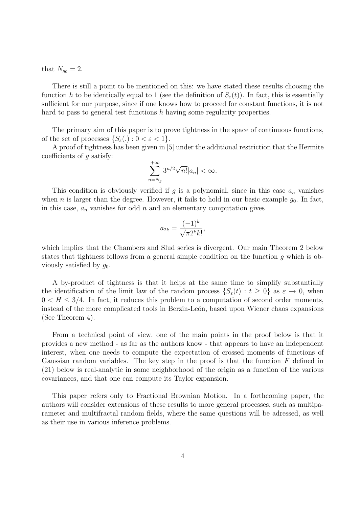that  $N_{q_0} = 2$ .

There is still a point to be mentioned on this: we have stated these results choosing the function h to be identically equal to 1 (see the definition of  $S_{\varepsilon}(t)$ ). In fact, this is essentially sufficient for our purpose, since if one knows how to proceed for constant functions, it is not hard to pass to general test functions h having some regularity properties.

The primary aim of this paper is to prove tightness in the space of continuous functions, of the set of processes  $\{S_{\varepsilon}(\cdot): 0 < \varepsilon < 1\}.$ 

A proof of tightness has been given in [5] under the additional restriction that the Hermite coefficients of  $q$  satisfy:

$$
\sum_{n=N_g}^{+\infty} 3^{n/2} \sqrt{n!} |a_n| < \infty.
$$

This condition is obviously verified if g is a polynomial, since in this case  $a_n$  vanishes when n is larger than the degree. However, it fails to hold in our basic example  $g_0$ . In fact, in this case,  $a_n$  vanishes for odd n and an elementary computation gives

$$
a_{2k} = \frac{(-1)^k}{\sqrt{\pi}2^k k!},
$$

which implies that the Chambers and Slud series is divergent. Our main Theorem 2 below states that tightness follows from a general simple condition on the function g which is obviously satisfied by  $q_0$ .

A by-product of tightness is that it helps at the same time to simplify substantially the identification of the limit law of the random process  $\{S_{\varepsilon}(t): t \geq 0\}$  as  $\varepsilon \to 0$ , when  $0 < H \leq 3/4$ . In fact, it reduces this problem to a computation of second order moments, instead of the more complicated tools in Berzin-León, based upon Wiener chaos expansions (See Theorem 4).

From a technical point of view, one of the main points in the proof below is that it provides a new method - as far as the authors know - that appears to have an independent interest, when one needs to compute the expectation of crossed moments of functions of Gaussian random variables. The key step in the proof is that the function  $F$  defined in (21) below is real-analytic in some neighborhood of the origin as a function of the various covariances, and that one can compute its Taylor expansion.

This paper refers only to Fractional Brownian Motion. In a forthcoming paper, the authors will consider extensions of these results to more general processes, such as multiparameter and multifractal random fields, where the same questions will be adressed, as well as their use in various inference problems.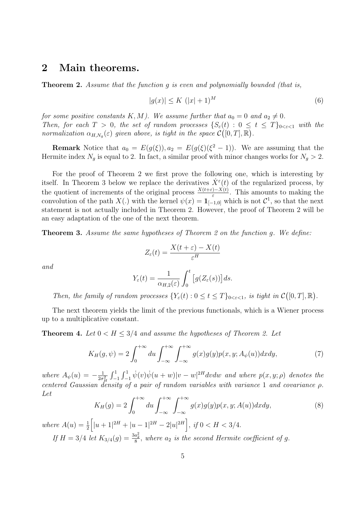### 2 Main theorems.

**Theorem 2.** Assume that the function q is even and polynomially bounded (that is,

$$
|g(x)| \le K \ (|x|+1)^M \tag{6}
$$

for some positive constants  $K, M$ ). We assume further that  $a_0 = 0$  and  $a_2 \neq 0$ . Then, for each  $T > 0$ , the set of random processes  $\{S_{\varepsilon}(t) : 0 \le t \le T\}_{0 \le \varepsilon \le 1}$  with the normalization  $\alpha_{H,N_g}(\varepsilon)$  given above, is tight in the space  $\mathcal{C}([0,T],\mathbb{R})$ .

**Remark** Notice that  $a_0 = E(g(\xi)), a_2 = E(g(\xi)(\xi^2 - 1))$ . We are assuming that the Hermite index  $N_g$  is equal to 2. In fact, a similar proof with minor changes works for  $N_g > 2$ .

For the proof of Theorem 2 we first prove the following one, which is interesting by itself. In Theorem 3 below we replace the derivatives  $\dot{X}^{\varepsilon}(t)$  of the regularized process, by the quotient of increments of the original process  $\frac{X(t+\varepsilon)-X(t)}{\varepsilon}$ . This amounts to making the convolution of the path  $X(.)$  with the kernel  $\psi(x) = \mathbf{1}_{[-1,0]}$  which is not  $\mathcal{C}^1$ , so that the next statement is not actually included in Theorem 2. However, the proof of Theorem 2 will be an easy adaptation of the one of the next theorem.

Theorem 3. Assume the same hypotheses of Theorem 2 on the function g. We define:

$$
Z_{\varepsilon}(t) = \frac{X(t+\varepsilon) - X(t)}{\varepsilon^H}
$$

and

$$
Y_{\varepsilon}(t) = \frac{1}{\alpha_{H,2}(\varepsilon)} \int_0^t \big[ g(Z_{\varepsilon}(s)) \big] ds.
$$

Then, the family of random processes  $\{Y_{\varepsilon}(t): 0 \leq t \leq T\}_{0 \leq \varepsilon \leq 1}$ , is tight in  $\mathcal{C}([0,T], \mathbb{R})$ .

The next theorem yields the limit of the previous functionals, which is a Wiener process up to a multiplicative constant.

**Theorem 4.** Let  $0 < H < 3/4$  and assume the hypotheses of Theorem 2. Let

$$
K_H(g,\psi) = 2\int_0^{+\infty} du \int_{-\infty}^{+\infty} \int_{-\infty}^{+\infty} g(x)g(y)p(x,y;A_{\psi}(u))dxdy,
$$
\n(7)

where  $A_{\psi}(u) = -\frac{1}{2\sigma}$  $\frac{1}{2\sigma_H^2} \int_{-1}^1 \int_{-1}^1 \dot{\psi}(v) \dot{\psi}(u+w) |v-w|^{2H}dv dw$  and where  $p(x, y; \rho)$  denotes the centered Gaussian density of a pair of random variables with variance 1 and covariance  $\rho$ . Let

$$
K_H(g) = 2 \int_0^{+\infty} du \int_{-\infty}^{+\infty} \int_{-\infty}^{+\infty} g(x)g(y)p(x, y; A(u))dxdy,
$$
\n(8)

where  $A(u) = \frac{1}{2} \left[ |u+1|^{2H} + |u-1|^{2H} - 2|u|^{2H} \right]$ , if  $0 < H < 3/4$ .

If  $H = 3/4$  let  $K_{3/4}(g) = \frac{3a_2^2}{8}$ , where  $a_2$  is the second Hermite coefficient of g.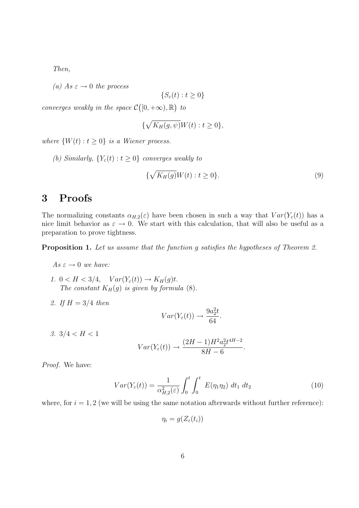Then,

(a) As  $\varepsilon \to 0$  the process

$$
\{S_{\varepsilon}(t):t\geq 0\}
$$

converges weakly in the space  $\mathcal{C}([0,+\infty),\mathbb{R})$  to

$$
\{\sqrt{K_H(g,\psi)}W(t):t\geq 0\},\
$$

where  $\{W(t): t \geq 0\}$  is a Wiener process.

(b) Similarly,  $\{Y_{\varepsilon}(t): t \geq 0\}$  converges weakly to

$$
\{\sqrt{K_H(g)}W(t) : t \ge 0\}.
$$
\n<sup>(9)</sup>

# 3 Proofs

The normalizing constants  $\alpha_{H,2}(\varepsilon)$  have been chosen in such a way that  $Var(Y_{\varepsilon}(t))$  has a nice limit behavior as  $\varepsilon \to 0$ . We start with this calculation, that will also be useful as a preparation to prove tightness.

Proposition 1. Let us assume that the function q satisfies the hypotheses of Theorem 2.

 $As \varepsilon \to 0$  we have:

- 1.  $0 < H < 3/4$ ,  $Var(Y_{\varepsilon}(t)) \rightarrow K_H(g)t$ . The constant  $K_H(g)$  is given by formula (8).
- 2. If  $H = 3/4$  then

$$
Var(Y_{\varepsilon}(t)) \to \frac{9a_2^2t}{64}.
$$

3.  $3/4 < H < 1$ 

$$
Var(Y_{\varepsilon}(t)) \to \frac{(2H - 1)H^2 a_2^2 t^{4H - 2}}{8H - 6}.
$$

Proof. We have:

$$
Var(Y_{\varepsilon}(t)) = \frac{1}{\alpha_{H,2}^2(\varepsilon)} \int_0^t \int_0^t E(\eta_1 \eta_2) \, dt_1 \, dt_2 \tag{10}
$$

where, for  $i = 1, 2$  (we will be using the same notation afterwards without further reference):

$$
\eta_i = g(Z_{\varepsilon}(t_i))
$$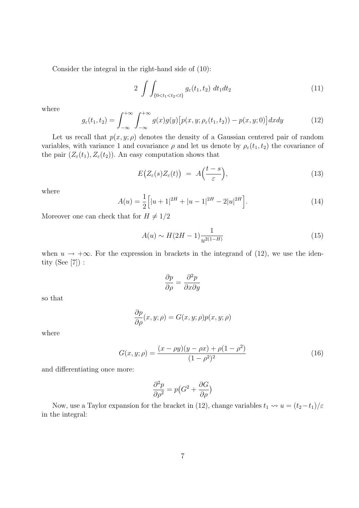Consider the integral in the right-hand side of (10):

$$
2\int\int_{\{0
$$

where

$$
g_{\varepsilon}(t_1, t_2) = \int_{-\infty}^{+\infty} \int_{-\infty}^{+\infty} g(x)g(y) \left[ p(x, y; \rho_{\varepsilon}(t_1, t_2)) - p(x, y; 0) \right] dx dy \tag{12}
$$

Let us recall that  $p(x, y; \rho)$  denotes the density of a Gaussian centered pair of random variables, with variance 1 and covariance  $\rho$  and let us denote by  $\rho_{\varepsilon}(t_1, t_2)$  the covariance of the pair  $(Z_{\varepsilon}(t_1), Z_{\varepsilon}(t_2))$ . An easy computation shows that

$$
E(Z_{\varepsilon}(s)Z_{\varepsilon}(t)) = A\Big(\frac{t-s}{\varepsilon}\Big), \tag{13}
$$

where

$$
A(u) = \frac{1}{2} \Big[ |u+1|^{2H} + |u-1|^{2H} - 2|u|^{2H} \Big]. \tag{14}
$$

Moreover one can check that for  $H \neq 1/2$ 

$$
A(u) \sim H(2H - 1)\frac{1}{u^{2(1-H)}}
$$
\n(15)

when  $u \to +\infty$ . For the expression in brackets in the integrand of (12), we use the identity (See [7]) :

$$
\frac{\partial p}{\partial \rho} = \frac{\partial^2 p}{\partial x \partial y}
$$

so that

$$
\frac{\partial p}{\partial \rho}(x, y; \rho) = G(x, y; \rho) p(x, y; \rho)
$$

where

$$
G(x, y; \rho) = \frac{(x - \rho y)(y - \rho x) + \rho(1 - \rho^2)}{(1 - \rho^2)^2}
$$
\n(16)

and differentiating once more:

$$
\frac{\partial^2 p}{\partial \rho^2} = p(G^2 + \frac{\partial G}{\partial \rho})
$$

Now, use a Taylor expansion for the bracket in (12), change variables  $t_1 \rightsquigarrow u = (t_2-t_1)/\varepsilon$ in the integral: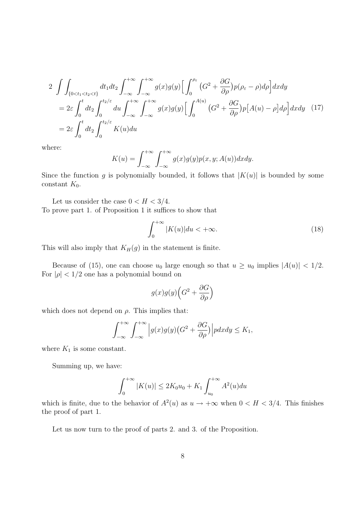$$
2 \int \int_{\{0 < t_1 < t_2 < t\}} dt_1 dt_2 \int_{-\infty}^{+\infty} \int_{-\infty}^{+\infty} g(x)g(y) \Big[ \int_0^{\rho_{\varepsilon}} (G^2 + \frac{\partial G}{\partial \rho}) p(\rho_{\varepsilon} - \rho) d\rho \Big] dx dy
$$
\n
$$
= 2\varepsilon \int_0^t dt_2 \int_0^{t_2/\varepsilon} du \int_{-\infty}^{+\infty} \int_{-\infty}^{+\infty} g(x)g(y) \Big[ \int_0^{A(u)} (G^2 + \frac{\partial G}{\partial \rho}) p[A(u) - \rho] d\rho \Big] dx dy \quad (17)
$$
\n
$$
= 2\varepsilon \int_0^t dt_2 \int_0^{t_2/\varepsilon} K(u) du
$$

where:

$$
K(u) = \int_{-\infty}^{+\infty} \int_{-\infty}^{+\infty} g(x)g(y)p(x, y; A(u))dxdy.
$$

Since the function g is polynomially bounded, it follows that  $|K(u)|$  is bounded by some constant  $K_0$ .

Let us consider the case  $0 < H < 3/4$ . To prove part 1. of Proposition 1 it suffices to show that

$$
\int_0^{+\infty} |K(u)| du < +\infty.
$$
 (18)

This will also imply that  $K_H(g)$  in the statement is finite.

Because of (15), one can choose  $u_0$  large enough so that  $u \ge u_0$  implies  $|A(u)| < 1/2$ . For  $|\rho| < 1/2$  one has a polynomial bound on

$$
g(x)g(y)\Big(G^2+\frac{\partial G}{\partial \rho}\Big)
$$

which does not depend on  $\rho$ . This implies that:

$$
\int_{-\infty}^{+\infty} \int_{-\infty}^{+\infty} \left| g(x)g(y) \left( G^2 + \frac{\partial G}{\partial \rho} \right) \right| p dx dy \le K_1,
$$

where  $K_1$  is some constant.

Summing up, we have:

$$
\int_0^{+\infty} |K(u)| \le 2K_0 u_0 + K_1 \int_{u_0}^{+\infty} A^2(u) du
$$

which is finite, due to the behavior of  $A^2(u)$  as  $u \to +\infty$  when  $0 < H < 3/4$ . This finishes the proof of part 1.

Let us now turn to the proof of parts 2. and 3. of the Proposition.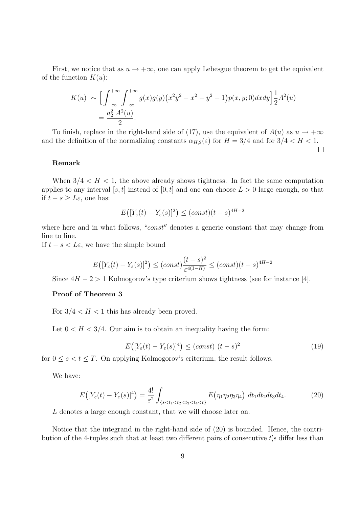First, we notice that as  $u \to +\infty$ , one can apply Lebesgue theorem to get the equivalent of the function  $K(u)$ :

$$
K(u) \sim \Big[ \int_{-\infty}^{+\infty} \int_{-\infty}^{+\infty} g(x)g(y) (x^2 y^2 - x^2 - y^2 + 1) p(x, y; 0) dx dy \Big] \frac{1}{2} A^2(u)
$$
  
=  $\frac{a_2^2 A^2(u)}{2}$ .

To finish, replace in the right-hand side of (17), use the equivalent of  $A(u)$  as  $u \to +\infty$ and the definition of the normalizing constants  $\alpha_{H,2}(\varepsilon)$  for  $H = 3/4$  and for  $3/4 < H < 1$ .

#### Remark

When  $3/4 < H < 1$ , the above already shows tightness. In fact the same computation applies to any interval [s, t] instead of [0, t] and one can choose  $L > 0$  large enough, so that if  $t − s ≥ L\varepsilon$ , one has:

$$
E\big([Y_{\varepsilon}(t) - Y_{\varepsilon}(s)]^2\big) \le (const)(t-s)^{4H-2}
$$

where here and in what follows, " $const$ " denotes a generic constant that may change from line to line.

If  $t - s < L\varepsilon$ , we have the simple bound

$$
E\big([Y_{\varepsilon}(t) - Y_{\varepsilon}(s)]^2\big) \le (const)\frac{(t-s)^2}{\varepsilon^{4(1-H)}} \le (const)(t-s)^{4H-2}
$$

Since  $4H - 2 > 1$  Kolmogorov's type criterium shows tightness (see for instance [4].

#### Proof of Theorem 3

For  $3/4 < H < 1$  this has already been proved.

Let  $0 < H < 3/4$ . Our aim is to obtain an inequality having the form:

$$
E\big([Y_{\varepsilon}(t) - Y_{\varepsilon}(s)]^4\big) \le (const) \ (t - s)^2 \tag{19}
$$

 $\Box$ 

for  $0 \leq s < t \leq T$ . On applying Kolmogorov's criterium, the result follows.

We have:

$$
E([Y_{\varepsilon}(t) - Y_{\varepsilon}(s)]^4) = \frac{4!}{\varepsilon^2} \int_{\{s < t_1 < t_2 < t_3 < t_4 < t\}} E(\eta_1 \eta_2 \eta_3 \eta_4) \, dt_1 dt_2 dt_3 dt_4. \tag{20}
$$

L denotes a large enough constant, that we will choose later on.

Notice that the integrand in the right-hand side of (20) is bounded. Hence, the contribution of the 4-tuples such that at least two different pairs of consecutive  $t_i$ 's differ less than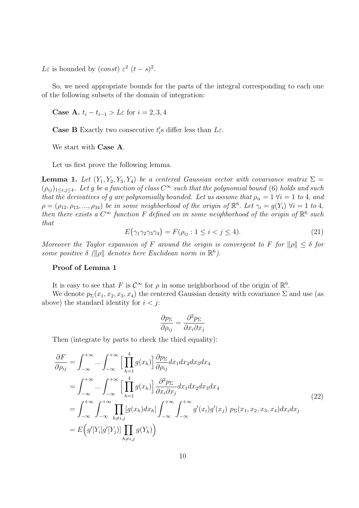Lε is bounded by  $(const) \varepsilon^2 (t-s)^2$ .

So, we need appropriate bounds for the parts of the integral corresponding to each one of the following subsets of the domain of integration:

Case A.  $t_i - t_{i-1} > L\varepsilon$  for  $i = 2, 3, 4$ 

**Case B** Exactly two consecutive  $t_i$ 's differ less than  $L\varepsilon$ .

We start with Case A.

Let us first prove the following lemma.

**Lemma 1.** Let  $(Y_1, Y_2, Y_3, Y_4)$  be a centered Gaussian vector with covariance matrix  $\Sigma$  =  $(\rho_{ij})_{1\leq i,j\leq 4}$ . Let g be a function of class  $C^{\infty}$  such that the polynomial bound (6) holds and such that the derivatives of g are polynomially bounded. Let us assume that  $\rho_{ii} = 1 \ \forall i = 1 \ to \ 4$ , and  $\rho = (\rho_{12}, \rho_{13}, ..., \rho_{34})$  be in some neighborhood of the origin of  $\mathbb{R}^6$ . Let  $\gamma_i = g(Y_i)$   $\forall i = 1$  to 4, then there exists a  $C^{\infty}$  function F defined on in some neighborhood of the origin of  $\mathbb{R}^6$  such that

$$
E(\gamma_1 \gamma_2 \gamma_3 \gamma_4) = F(\rho_{ij} : 1 \le i < j \le 4). \tag{21}
$$

Moreover the Taylor expansion of F around the origin is convergent to F for  $\|\rho\| \leq \delta$  for some positive  $\delta$  ( $\|\rho\|$  denotes here Euclidean norm in  $\mathbb{R}^6$ ).

### Proof of Lemma 1

It is easy to see that F is  $\mathcal{C}^{\infty}$  for  $\rho$  in some neighborhood of the origin of  $\mathbb{R}^{6}$ .

We denote  $p_{\Sigma}(x_1, x_2, x_3, x_4)$  the centered Gaussian density with covariance  $\Sigma$  and use (as above) the standard identity for  $i < j$ :

$$
\frac{\partial p_{\Sigma}}{\partial \rho_{ij}} = \frac{\partial^2 p_{\Sigma}}{\partial x_i \partial x_j}
$$

Then (integrate by parts to check the third equality):

$$
\frac{\partial F}{\partial \rho_{ij}} = \int_{-\infty}^{+\infty} \dots \int_{-\infty}^{+\infty} \left[ \prod_{h=1}^{4} g(x_h) \right] \frac{\partial p_{\Sigma}}{\partial \rho_{ij}} dx_1 dx_2 dx_3 dx_4 \n= \int_{-\infty}^{+\infty} \dots \int_{-\infty}^{+\infty} \left[ \prod_{h=1}^{4} g(x_h) \right] \frac{\partial^2 p_{\Sigma}}{\partial x_i \partial x_j} dx_1 dx_2 dx_3 dx_4 \n= \int_{-\infty}^{+\infty} \int_{-\infty}^{+\infty} \prod_{h \neq i,j} \left[ g(x_h) dx_h \right] \int_{-\infty}^{+\infty} \int_{-\infty}^{+\infty} g'(x_i) g'(x_j) p_{\Sigma}(x_1, x_2, x_3, x_4) dx_i dx_j \n= E\left(g'[Y_i]g'[Y_j]\right) \prod_{h \neq i,j} g(Y_h)\right)
$$
\n(22)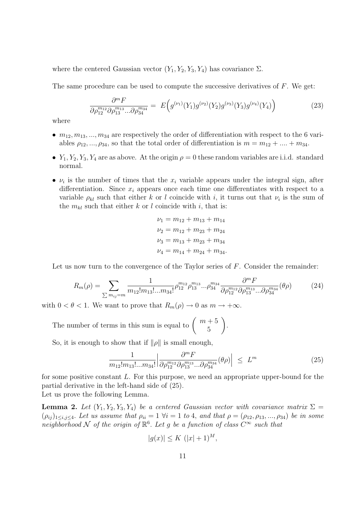where the centered Gaussian vector  $(Y_1, Y_2, Y_3, Y_4)$  has covariance  $\Sigma$ .

The same procedure can be used to compute the successive derivatives of  $F$ . We get:

$$
\frac{\partial^m F}{\partial \rho_{12}^{m_{12}} \partial \rho_{13}^{m_{13}} \dots \partial \rho_{34}^{m_{34}}} = E\Big(g^{(\nu_1)}(Y_1)g^{(\nu_2)}(Y_2)g^{(\nu_3)}(Y_3)g^{(\nu_4)}(Y_4)\Big) \tag{23}
$$

where

- $m_{12}, m_{13}, ..., m_{34}$  are respectively the order of differentiation with respect to the 6 variables  $\rho_{12},...,\rho_{34}$ , so that the total order of differentiation is  $m = m_{12} + ... + m_{34}$ .
- $Y_1, Y_2, Y_3, Y_4$  are as above. At the origin  $\rho = 0$  these random variables are i.i.d. standard normal.
- $\nu_i$  is the number of times that the  $x_i$  variable appears under the integral sign, after differentiation. Since  $x_i$  appears once each time one differentiates with respect to a variable  $\rho_{kl}$  such that either k or l coincide with i, it turns out that  $\nu_i$  is the sum of the  $m_{kl}$  such that either k or l coincide with i, that is:

$$
\nu_1 = m_{12} + m_{13} + m_{14}
$$
  
\n
$$
\nu_2 = m_{12} + m_{23} + m_{24}
$$
  
\n
$$
\nu_3 = m_{13} + m_{23} + m_{34}
$$
  
\n
$$
\nu_4 = m_{14} + m_{24} + m_{34}.
$$

Let us now turn to the convergence of the Taylor series of F. Consider the remainder:

$$
R_m(\rho) = \sum_{\sum m_{ij} = m} \frac{1}{m_{12}! m_{13}! \dots m_{34}!} \rho_{12}^{m_{12}} \rho_{13}^{m_{13}} \dots \rho_{34}^{m_{34}} \frac{\partial^m F}{\partial \rho_{12}^{m_{12}} \partial \rho_{13}^{m_{13}} \dots \partial \rho_{34}^{m_{34}}} (\theta \rho) \tag{24}
$$

with  $0 < \theta < 1$ . We want to prove that  $R_m(\rho) \to 0$  as  $m \to +\infty$ .

The number of terms in this sum is equal to  $\left( \begin{array}{c} m+5 \\ 5 \end{array} \right)$ 5  $\setminus$ .

So, it is enough to show that if  $\|\rho\|$  is small enough,

$$
\frac{1}{m_{12}!m_{13}!...m_{34}!} \Big| \frac{\partial^m F}{\partial \rho_{12}^{m_{12}} \partial \rho_{13}^{m_{13}} ... \partial \rho_{34}^{m_{34}}} (\theta \rho) \Big| \le L^m \tag{25}
$$

for some positive constant L. For this purpose, we need an appropriate upper-bound for the partial derivative in the left-hand side of (25). Let us prove the following Lemma.

**Lemma 2.** Let  $(Y_1, Y_2, Y_3, Y_4)$  be a centered Gaussian vector with covariance matrix  $\Sigma$  $(\rho_{ij})_{1\leq i,j\leq 4}$ . Let us assume that  $\rho_{ii} = 1 \; \forall i = 1 \; to \; 4$ , and that  $\rho = (\rho_{12}, \rho_{13}, \ldots, \rho_{34})$  be in some neighborhood N of the origin of  $\mathbb{R}^6$ . Let g be a function of class  $C^{\infty}$  such that

$$
|g(x)| \le K (|x| + 1)^M,
$$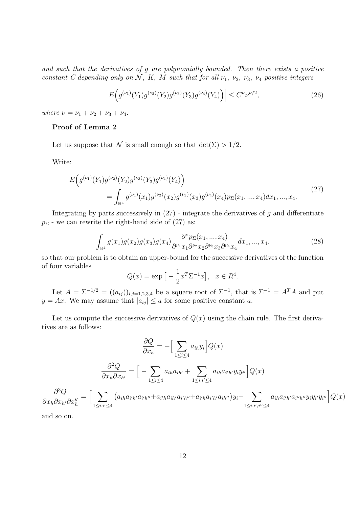and such that the derivatives of g are polynomially bounded. Then there exists a positive constant C depending only on N, K, M such that for all  $\nu_1$ ,  $\nu_2$ ,  $\nu_3$ ,  $\nu_4$  positive integers

$$
\left| E\Big(g^{(\nu_1)}(Y_1)g^{(\nu_2)}(Y_2)g^{(\nu_3)}(Y_3)g^{(\nu_4)}(Y_4)\Big) \right| \le C^{\nu} \nu^{\nu/2},\tag{26}
$$

where  $\nu = \nu_1 + \nu_2 + \nu_3 + \nu_4$ .

### Proof of Lemma 2

Let us suppose that N is small enough so that  $\det(\Sigma) > 1/2$ .

Write:

$$
E(g^{(\nu_1)}(Y_1)g^{(\nu_2)}(Y_2)g^{(\nu_3)}(Y_3)g^{(\nu_4)}(Y_4))
$$
  
= 
$$
\int_{\mathbb{R}^4} g^{(\nu_1)}(x_1)g^{(\nu_2)}(x_2)g^{(\nu_3)}(x_3)g^{(\nu_4)}(x_4)p_{\Sigma}(x_1,...,x_4)dx_1,...,x_4.
$$
 (27)

Integrating by parts successively in  $(27)$  - integrate the derivatives of g and differentiate  $p_{\Sigma}$  - we can rewrite the right-hand side of (27) as:

$$
\int_{\mathbb{R}^4} g(x_1)g(x_2)g(x_3)g(x_4) \frac{\partial^{\nu} p_{\Sigma}(x_1, ..., x_4)}{\partial^{\nu_1} x_1 \partial^{\nu_2} x_2 \partial^{\nu_3} x_3 \partial^{\nu_4} x_4} dx_1, ..., x_4.
$$
\n(28)

so that our problem is to obtain an upper-bound for the successive derivatives of the function of four variables

$$
Q(x) = \exp\left[-\frac{1}{2}x^T \Sigma^{-1} x\right], \quad x \in R^4.
$$

Let  $A = \Sigma^{-1/2} = ((a_{ij}))_{i,j=1,2,3,4}$  be a square root of  $\Sigma^{-1}$ , that is  $\Sigma^{-1} = A^T A$  and put  $y = Ax$ . We may assume that  $|a_{ij}| \le a$  for some positive constant a.

Let us compute the successive derivatives of  $Q(x)$  using the chain rule. The first derivatives are as follows:

$$
\frac{\partial Q}{\partial x_h} = -\Big[\sum_{1 \le i \le 4} a_{ih} y_i\Big] Q(x)
$$

$$
\frac{\partial^2 Q}{\partial x_h \partial x_{h'}} = \Big[-\sum_{1 \le i \le 4} a_{ih} a_{ih'} + \sum_{1 \le i, i' \le 4} a_{ih} a_{i'h'} y_i y_{i'}\Big] Q(x)
$$

$$
\frac{\partial^3 Q}{\partial x_h \partial x_{h'} \partial x''_h} = \Big[\sum_{1 \le i, i' \le 4} \Big(a_{ih} a_{i'h'} a_{i'h'} + a_{i'h} a_{ih'} a_{i'h'} + a_{i'h} a_{i'h'} a_{ih'} y_i y_{i'}\Big] Q(x)
$$

and so on.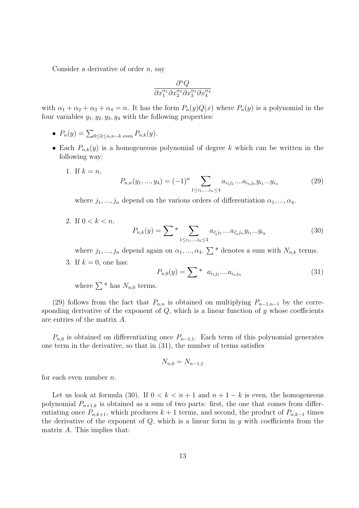Consider a derivative of order  $n$ , say

$$
\frac{\partial^n Q}{\partial x_1^{\alpha_1} \partial x_2^{\alpha_2} \partial x_3^{\alpha_3} \partial x_4^{\alpha_4}}
$$

with  $\alpha_1 + \alpha_2 + \alpha_3 + \alpha_4 = n$ . It has the form  $P_n(y)Q(x)$  where  $P_n(y)$  is a polynomial in the four variables  $y_1, y_2, y_3, y_4$  with the following properties:

- $P_n(y) = \sum_{0 \le k \le n, n-k \text{ even}} P_{n,k}(y)$ .
- Each  $P_{n,k}(y)$  is a homogeneous polynomial of degree k which can be written in the following way:
	- 1. If  $k = n$ ,

$$
P_{n,n}(y_1, ..., y_4) = (-1)^n \sum_{1 \le i_1, ..., i_n \le 4} a_{i_1 j_1} ... a_{i_n j_n} y_{i_1} ... y_{i_n}
$$
 (29)

where  $j_1, ..., j_n$  depend on the various orders of differentiation  $\alpha_1, ..., \alpha_4$ .

2. If  $0 < k < n$ ,

$$
P_{n,k}(y) = \sum \sum_{1 \le i_1, \dots, i_k \le 4} a_{i'_1 j_1} \dots a_{i'_n j_n} y_{i_1} \dots y_{i_k}
$$
 (30)

where  $j_1, ..., j_n$  depend again on  $\alpha_1, ..., \alpha_4$ .  $\sum^*$  denotes a sum with  $N_{n,k}$  terms.

3. If  $k = 0$ , one has:

$$
P_{n,0}(y) = \sum * a_{i_1 j_1} \dots a_{i_n j_n} \tag{31}
$$

where  $\sum^*$  has  $N_{n,0}$  terms.

(29) follows from the fact that  $P_{n,n}$  is obtained on multiplying  $P_{n-1,n-1}$  by the corresponding derivative of the exponent of  $Q$ , which is a linear function of  $y$  whose coefficients are entries of the matrix A.

 $P_{n,0}$  is obtained on differentiating once  $P_{n-1,1}$ . Each term of this polynomial generates one term in the derivative, so that in (31), the number of terms satisfies

$$
N_{n,0} = N_{n-1,1}
$$

for each even number  $n$ .

Let us look at formula (30). If  $0 < k < n+1$  and  $n+1-k$  is even, the homogeneous polynomial  $P_{n+1,k}$  is obtained as a sum of two parts: first, the one that comes from differentiating once  $P_{n,k+1}$ , which produces  $k+1$  terms, and second, the product of  $P_{n,k-1}$  times the derivative of the exponent of  $Q$ , which is a linear form in  $y$  with coefficients from the matrix A. This implies that: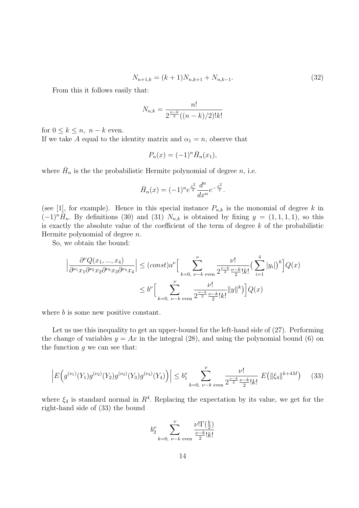$$
N_{n+1,k} = (k+1)N_{n,k+1} + N_{n,k-1}.
$$
\n(32)

From this it follows easily that:

$$
N_{n,k} = \frac{n!}{2^{\frac{n-k}{2}}((n-k)/2)!k!}
$$

for  $0 \leq k \leq n$ ,  $n - k$  even.

If we take A equal to the identity matrix and  $\alpha_1 = n$ , observe that

$$
P_n(x) = (-1)^n \overline{H}_n(x_1),
$$

where  $\bar{H}_n$  is the the probabilistic Hermite polynomial of degree n, i.e.

$$
\bar{H}_n(x) = (-1)^n e^{\frac{x^2}{2}} \frac{d^n}{dx^n} e^{-\frac{x^2}{2}}.
$$

(see [1], for example). Hence in this special instance  $P_{n,k}$  is the monomial of degree k in  $(-1)^n\overline{H}_n$ . By definitions (30) and (31)  $N_{n,k}$  is obtained by fixing  $y = (1,1,1,1)$ , so this is exactly the absolute value of the coefficient of the term of degree  $k$  of the probabilistic Hermite polynomial of degree  $n$ .

So, we obtain the bound:

$$
\left| \frac{\partial^{\nu} Q(x_1, ..., x_4)}{\partial^{\nu_1} x_1 \partial^{\nu_2} x_2 \partial^{\nu_3} x_3 \partial^{\nu_4} x_4} \right| \leq (const) a^{\nu} \Big[ \sum_{k=0, \nu-k \text{ even}}^{\nu} \frac{\nu!}{2^{\frac{\nu-k}{2}} \frac{\nu-k}{2}! k!} \left( \sum_{i=1}^4 |y_i| \right)^k \Big] Q(x)
$$
  

$$
\leq b^{\nu} \Big[ \sum_{k=0, \nu-k \text{ even}}^{\nu} \frac{\nu!}{2^{\frac{\nu-k}{2}} \frac{\nu-k}{2}! k!} \|y\|^k \Big] Q(x)
$$

where b is some new positive constant.

Let us use this inequality to get an upper-bound for the left-hand side of (27). Performing the change of variables  $y = Ax$  in the integral (28), and using the polynomial bound (6) on the function  $q$  we can see that:

$$
\left| E\Big(g^{(\nu_1)}(Y_1)g^{(\nu_2)}(Y_2)g^{(\nu_3)}(Y_3)g^{(\nu_4)}(Y_4)\Big) \right| \le b_1^{\nu} \sum_{k=0, \ \nu-k \text{ even}}^{\nu} \frac{\nu!}{2^{\frac{\nu-k}{2}} \frac{\nu-k}{2}!k!} E\big(\|\xi_4\|^{k+4M}\big) \tag{33}
$$

where  $\xi_4$  is standard normal in  $R^4$ . Replacing the expectation by its value, we get for the right-hand side of (33) the bound

$$
b_2^{\nu}\sum_{k=0,\ \nu-k\ \textrm{even}}^{\nu}\frac{\nu!\Gamma(\frac{k}{2})}{\frac{\nu-k}{2}!k!}
$$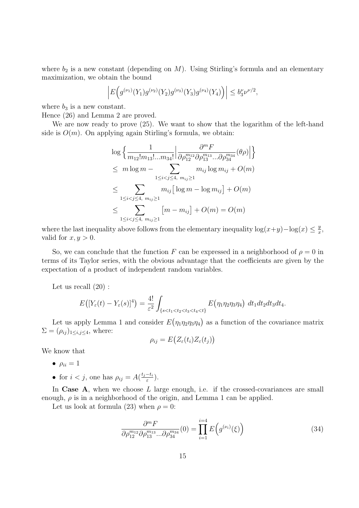where  $b_2$  is a new constant (depending on M). Using Stirling's formula and an elementary maximization, we obtain the bound

$$
\left| E\Big(g^{(\nu_1)}(Y_1)g^{(\nu_2)}(Y_2)g^{(\nu_3)}(Y_3)g^{(\nu_4)}(Y_4)\Big) \right| \leq b_3^{\nu} \nu^{\nu/2},
$$

where  $b_3$  is a new constant.

Hence (26) and Lemma 2 are proved.

We are now ready to prove (25). We want to show that the logarithm of the left-hand side is  $O(m)$ . On applying again Stirling's formula, we obtain:

$$
\log \left\{ \frac{1}{m_{12}! m_{13}! \dots m_{34}!} \Big| \frac{\partial^m F}{\partial \rho_{12}^{m_{12}} \partial \rho_{13}^{m_{13}} \dots \partial \rho_{34}^{m_{34}}} (\theta \rho) \Big| \right\}
$$
  
\n
$$
\leq m \log m - \sum_{1 \leq i < j \leq 4, m_{ij} \geq 1} m_{ij} \log m_{ij} + O(m)
$$
  
\n
$$
\leq \sum_{1 \leq i < j \leq 4, m_{ij} \geq 1} m_{ij} \Big[ \log m - \log m_{ij} \Big] + O(m)
$$
  
\n
$$
\leq \sum_{1 \leq i < j \leq 4, m_{ij} \geq 1} \Big[ m - m_{ij} \Big] + O(m) = O(m)
$$

where the last inequality above follows from the elementary inequality  $\log(x+y)-\log(x) \leq \frac{y}{x}$  $\frac{y}{x}$ , valid for  $x, y > 0$ .

So, we can conclude that the function F can be expressed in a neighborhood of  $\rho = 0$  in terms of its Taylor series, with the obvious advantage that the coefficients are given by the expectation of a product of independent random variables.

Let us recall (20) :

$$
E\big([Y_{\varepsilon}(t)-Y_{\varepsilon}(s)]^4\big)=\frac{4!}{\varepsilon^2}\int_{\{s
$$

Let us apply Lemma 1 and consider  $E(\eta_1 \eta_2 \eta_3 \eta_4)$  as a function of the covariance matrix  $\Sigma = (\rho_{ij})_{1 \leq i,j \leq 4}$ , where:

$$
\rho_{ij} = E(Z_{\varepsilon}(t_i)Z_{\varepsilon}(t_j))
$$

We know that

- $\rho_{ii} = 1$
- for  $i < j$ , one has  $\rho_{ij} = A(\frac{t_j t_i}{\varepsilon})$  $\frac{-\tau_i}{\varepsilon}).$

In Case  $A$ , when we choose  $L$  large enough, i.e. if the crossed-covariances are small enough,  $\rho$  is in a neighborhood of the origin, and Lemma 1 can be applied.

Let us look at formula (23) when  $\rho = 0$ :

$$
\frac{\partial^m F}{\partial \rho_{12}^{m_{12}} \partial \rho_{13}^{m_{13}}...\partial \rho_{34}^{m_{34}}}(0) = \prod_{i=1}^{i=4} E\Big(g^{(\nu_i)}(\xi)\Big)
$$
(34)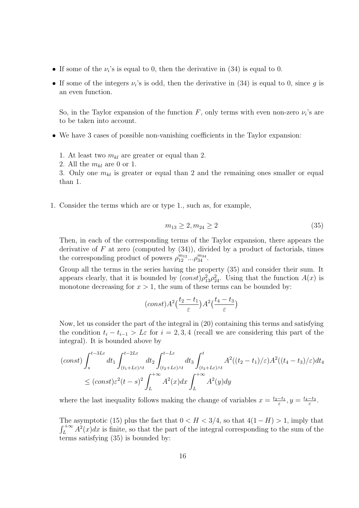- If some of the  $\nu_i$ 's is equal to 0, then the derivative in (34) is equal to 0.
- If some of the integers  $\nu_i$ 's is odd, then the derivative in (34) is equal to 0, since g is an even function.

So, in the Taylor expansion of the function  $F$ , only terms with even non-zero  $\nu_i$ 's are to be taken into account.

- We have 3 cases of possible non-vanishing coefficients in the Taylor expansion:
	- 1. At least two  $m_{kl}$  are greater or equal than 2.
	- 2. All the  $m_{kl}$  are 0 or 1.

3. Only one  $m_{kl}$  is greater or equal than 2 and the remaining ones smaller or equal than 1.

1. Consider the terms which are or type 1., such as, for example,

$$
m_{13} \ge 2, m_{24} \ge 2 \tag{35}
$$

Then, in each of the corresponding terms of the Taylor expansion, there appears the derivative of F at zero (computed by  $(34)$ ), divided by a product of factorials, times the corresponding product of powers  $\rho_{12}^{m_{12}} \dots \rho_{34}^{m_{34}}$ .

Group all the terms in the series having the property (35) and consider their sum. It appears clearly, that it is bounded by  $(const)\rho_{13}^2\rho_{24}^2$ . Using that the function  $A(x)$  is monotone decreasing for  $x > 1$ , the sum of these terms can be bounded by:

$$
(const) A^2 \left(\frac{t_2 - t_1}{\varepsilon}\right) A^2 \left(\frac{t_4 - t_3}{\varepsilon}\right)
$$

Now, let us consider the part of the integral in (20) containing this terms and satisfying the condition  $t_i - t_{i-1} > L\varepsilon$  for  $i = 2, 3, 4$  (recall we are considering this part of the integral). It is bounded above by

$$
(const) \int_{s}^{t-3L\varepsilon} dt_1 \int_{(t_1+L\varepsilon)\wedge t}^{t-2L\varepsilon} dt_2 \int_{(t_2+L\varepsilon)\wedge t}^{t-L\varepsilon} dt_3 \int_{(t_3+L\varepsilon)\wedge t}^{t} A^2((t_2-t_1)/\varepsilon) A^2((t_4-t_3)/\varepsilon) dt_4
$$
  

$$
\le (const)\varepsilon^2 (t-s)^2 \int_{L}^{+\infty} A^2(x) dx \int_{L}^{+\infty} A^2(y) dy
$$

where the last inequality follows making the change of variables  $x = \frac{t_2 - t_1}{\epsilon}$  $\frac{-t_1}{\varepsilon}, y = \frac{t_4-t_3}{\varepsilon}$  $\frac{-t_3}{\varepsilon}$ .

The asymptotic (15) plus the fact that  $0 < H < 3/4$ , so that  $4(1-H) > 1$ , imply that  $\int_{L}^{+\infty} A^2(x)dx$  is finite, so that the part of the integral corresponding to the sum of the terms satisfying (35) is bounded by: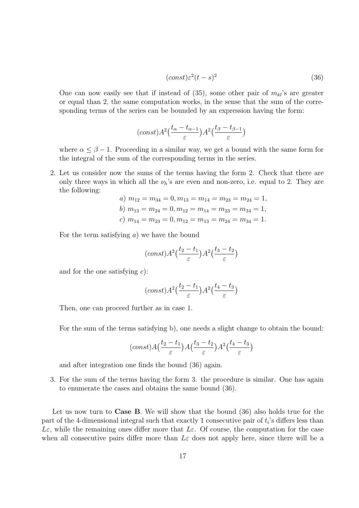$$
(const)\varepsilon^2(t-s)^2\tag{36}
$$

One can now easily see that if instead of  $(35)$ , some other pair of  $m_{kl}$ 's are greater or equal than 2, the same computation works, in the sense that the sum of the corresponding terms of the series can be bounded by an expression having the form:

$$
(const) A^2 \left(\frac{t_{\alpha} - t_{\alpha - 1}}{\varepsilon}\right) A^2 \left(\frac{t_{\beta} - t_{\beta - 1}}{\varepsilon}\right)
$$

where  $\alpha \leq \beta - 1$ . Proceeding in a similar way, we get a bound with the same form for the integral of the sum of the corresponding terms in the series.

2. Let us consider now the sums of the terms having the form 2. Check that there are only three ways in which all the  $\nu_h$ 's are even and non-zero, i.e. equal to 2. They are the following:

a) 
$$
m_{12} = m_{34} = 0, m_{13} = m_{14} = m_{23} = m_{24} = 1,
$$
  
\nb)  $m_{13} = m_{24} = 0, m_{12} = m_{14} = m_{23} = m_{34} = 1,$   
\nc)  $m_{14} = m_{23} = 0, m_{12} = m_{13} = m_{24} = m_{34} = 1.$ 

For the term satisfying  $a$ ) we have the bound

$$
(const) A^2 \left(\frac{t_2 - t_1}{\varepsilon}\right) A^2 \left(\frac{t_3 - t_2}{\varepsilon}\right)
$$

and for the one satisfying  $c$ :

$$
(const) A^2 \left(\frac{t_2 - t_1}{\varepsilon}\right) A^2 \left(\frac{t_4 - t_3}{\varepsilon}\right)
$$

Then, one can proceed further as in case 1.

For the sum of the terms satisfying b), one needs a slight change to obtain the bound:

$$
(const) A\left(\frac{t_2-t_1}{\varepsilon}\right) A\left(\frac{t_3-t_2}{\varepsilon}\right) A^2\left(\frac{t_4-t_3}{\varepsilon}\right)
$$

and after integration one finds the bound (36) again.

3. For the sum of the terms having the form 3. the procedure is similar. One has again to enumerate the cases and obtains the same bound (36).

Let us now turn to Case B. We will show that the bound (36) also holds true for the part of the 4-dimensional integral such that exactly 1 consecutive pair of  $t_i$ 's differs less than Lε, while the remaining ones differ more that Lε. Of course, the computation for the case when all consecutive pairs differ more than  $L\varepsilon$  does not apply here, since there will be a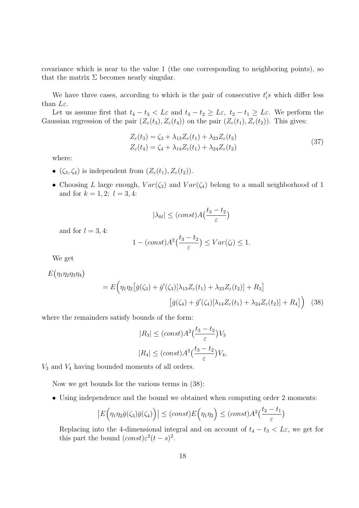covariance which is near to the value 1 (the one corresponding to neighboring points), so that the matrix  $\Sigma$  becomes nearly singular.

We have three cases, according to which is the pair of consecutive  $t_i$ 's which differ less than  $L\varepsilon$ .

Let us assume first that  $t_4 - t_3 < L\varepsilon$  and  $t_3 - t_2 \geq L\varepsilon$ ,  $t_2 - t_1 \geq L\varepsilon$ . We perform the Gaussian regression of the pair  $(Z_{\varepsilon}(t_3), Z_{\varepsilon}(t_4))$  on the pair  $(Z_{\varepsilon}(t_1), Z_{\varepsilon}(t_2))$ . This gives:

$$
Z_{\varepsilon}(t_3) = \zeta_3 + \lambda_{13} Z_{\varepsilon}(t_1) + \lambda_{23} Z_{\varepsilon}(t_2)
$$
  
\n
$$
Z_{\varepsilon}(t_4) = \zeta_4 + \lambda_{14} Z_{\varepsilon}(t_1) + \lambda_{24} Z_{\varepsilon}(t_2)
$$
\n(37)

where:

- $(\zeta_3, \zeta_4)$  is independent from  $(Z_\varepsilon(t_1), Z_\varepsilon(t_2)).$
- Choosing L large enough,  $Var(\zeta_3)$  and  $Var(\zeta_4)$  belong to a small neighborhood of 1 and for  $k = 1, 2; l = 3, 4$ :

$$
|\lambda_{kl}| \le (const) A\left(\frac{t_3 - t_2}{\varepsilon}\right)
$$

and for  $l = 3, 4$ :

$$
1 - (const)A^2\left(\frac{t_3 - t_2}{\varepsilon}\right) \leq Var(\zeta_l) \leq 1.
$$

We get

 $E(\eta_1\eta_2\eta_3\eta_4)$ 

$$
= E\Big(\eta_1\eta_2\big[\bar{g}(\zeta_3) + \bar{g}'(\zeta_3)[\lambda_{13}Z_{\varepsilon}(t_1) + \lambda_{23}Z_{\varepsilon}(t_2)] + R_3\big] [\bar{g}(\zeta_4) + \bar{g}'(\zeta_4)[\lambda_{14}Z_{\varepsilon}(t_1) + \lambda_{24}Z_{\varepsilon}(t_2)] + R_4] \Big) \quad (38)
$$

where the remainders satisfy bounds of the form:

$$
|R_3| \le (const)A^2 \left(\frac{t_3 - t_2}{\varepsilon}\right) V_3
$$
  

$$
|R_4| \le (const)A^2 \left(\frac{t_3 - t_2}{\varepsilon}\right) V_4,
$$

 $V_3$  and  $V_4$  having bounded moments of all orders.

Now we get bounds for the various terms in (38):

• Using independence and the bound we obtained when computing order 2 moments:

$$
\left|E\Big(\eta_1\eta_2\bar{g}(\zeta_3)\bar{g}(\zeta_4)\Big)\right|\leq (const)E\Big(\eta_1\eta_2\Big)\leq (const)A^2\big(\frac{t_2-t_1}{\varepsilon}\big)
$$

Replacing into the 4-dimensional integral and on account of  $t_4 - t_3 < L\varepsilon$ , we get for this part the bound  $(const)\varepsilon^2(t-s)^2$ .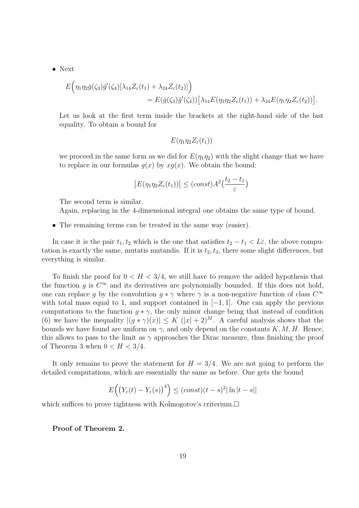• Next

$$
E\Big(\eta_1\eta_2\bar{g}(\zeta_3)\bar{g}'(\zeta_4)[\lambda_{14}Z_{\varepsilon}(t_1)+\lambda_{24}Z_{\varepsilon}(t_2)]\Big)\\=E(\bar{g}(\zeta_3)\bar{g}'(\zeta_4))\big[\lambda_{14}E(\eta_1\eta_2Z_{\varepsilon}(t_1))+\lambda_{24}E(\eta_1\eta_2Z_{\varepsilon}(t_2))\big].
$$

Let us look at the first term inside the brackets at the right-hand side of the last equality. To obtain a bound for

$$
E(\eta_1\eta_2Z_{\varepsilon}(t_1))
$$

we proceed in the same form as we did for  $E(\eta_1\eta_2)$  with the slight change that we have to replace in our formulas  $q(x)$  by  $xq(x)$ . We obtain the bound:

$$
\left|E(\eta_1 \eta_2 Z_{\varepsilon}(t_1))\right| \leq (const)A^2\left(\frac{t_2 - t_1}{\varepsilon}\right)
$$

The second term is similar.

Again, replacing in the 4-dimensional integral one obtains the same type of bound.

• The remaining terms can be treated in the same way (easier).

In case it is the pair  $t_1, t_2$  which is the one that satisfies  $t_2 - t_1 < L\varepsilon$ , the above computation is exactly the same, mutatis mutandis. If it is  $t_2, t_3$ , there some slight differences, but everything is similar.

To finish the proof for  $0 < H < 3/4$ , we still have to remove the added hypothesis that the function g is  $C^{\infty}$  and its derivatives are polynomially bounded. If this does not hold, one can replace g by the convolution  $g * \gamma$  where  $\gamma$  is a non-negative function of class  $C^{\infty}$ with total mass equal to 1, and support contained in  $[-1, 1]$ . One can apply the previous computations to the function  $g * \gamma$ , the only minor change being that instead of condition (6) we have the inequality  $|(q * \gamma)(x)| \leq K (|x| + 2)^M$ . A careful analysis shows that the bounds we have found are uniform on  $\gamma$ , and only depend on the constants K, M, H. Hence, this allows to pass to the limit as  $\gamma$  approaches the Dirac measure, thus finishing the proof of Theorem 3 when  $0 < H < 3/4$ .

It only remains to prove the statement for  $H = 3/4$ . We are not going to perform the detailed computations, which are essentially the same as before. One gets the bound

$$
E\left(\left(Y_{\varepsilon}(t) - Y_{\varepsilon}(s)\right)^{4}\right) \leq (const)(t-s)^{2}|\ln|t-s||
$$

which suffices to prove tightness with Kolmogorov's criterium.

Proof of Theorem 2.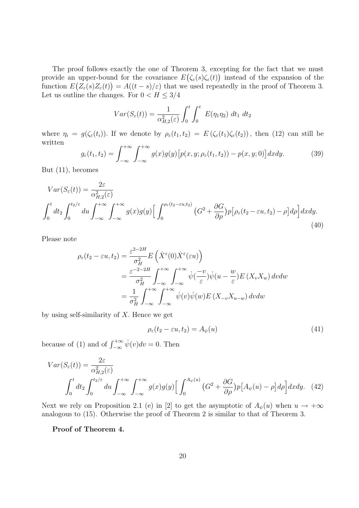The proof follows exactly the one of Theorem 3, excepting for the fact that we must provide an upper-bound for the covariance  $E(\zeta_{\varepsilon}(s)\zeta_{\varepsilon}(t))$  instead of the expansion of the function  $E(Z_{\varepsilon}(s)Z_{\varepsilon}(t)) = A((t-s)/\varepsilon)$  that we used repeatedly in the proof of Theorem 3. Let us outline the changes. For  $0 < H \leq 3/4$ 

$$
Var(S_{\varepsilon}(t)) = \frac{1}{\alpha_{H,2}^2(\varepsilon)} \int_0^t \int_0^t E(\eta_1 \eta_2) dt_1 dt_2
$$

where  $\eta_i = g(\zeta_{\varepsilon}(t_i))$ . If we denote by  $\rho_{\varepsilon}(t_1, t_2) = E(\zeta_{\varepsilon}(t_1)\zeta_{\varepsilon}(t_2))$ , then (12) can still be written

$$
g_{\varepsilon}(t_1, t_2) = \int_{-\infty}^{+\infty} \int_{-\infty}^{+\infty} g(x)g(y) \left[ p(x, y; \rho_{\varepsilon}(t_1, t_2)) - p(x, y; 0) \right] dx dy.
$$
 (39)

But (11), becomes

$$
Var(S_{\varepsilon}(t)) = \frac{2\varepsilon}{\alpha_{H,2}^2(\varepsilon)}
$$

$$
\int_0^t dt_2 \int_0^{t_2/\varepsilon} du \int_{-\infty}^{+\infty} \int_{-\infty}^{+\infty} g(x)g(y) \left[ \int_0^{\rho_{\varepsilon}(t_2 - \varepsilon u, t_2)} (G^2 + \frac{\partial G}{\partial \rho}) p \left[ \rho_{\varepsilon}(t_2 - \varepsilon u, t_2) - \rho \right] d\rho \right] dx dy.
$$
\n(40)

Please note

$$
\rho_{\varepsilon}(t_2 - \varepsilon u, t_2) = \frac{\varepsilon^{2-2H}}{\sigma_H^2} E\left(\dot{X}^{\varepsilon}(0) \dot{X}^{\varepsilon}(\varepsilon u)\right)
$$
  
\n
$$
= \frac{\varepsilon^{-2-2H}}{\sigma_H^2} \int_{-\infty}^{+\infty} \int_{-\infty}^{+\infty} \dot{\psi}(\frac{-v}{\varepsilon}) \dot{\psi}(u - \frac{w}{\varepsilon}) E\left(X_v X_w\right) dv dw
$$
  
\n
$$
= \frac{1}{\sigma_H^2} \int_{-\infty}^{+\infty} \int_{-\infty}^{+\infty} \dot{\psi}(v) \dot{\psi}(w) E\left(X_{-v} X_{u-w}\right) dv dw
$$

by using self-similarity of  $X$ . Hence we get

$$
\rho_{\varepsilon}(t_2 - \varepsilon u, t_2) = A_{\psi}(u) \tag{41}
$$

because of (1) and of  $\int_{-\infty}^{+\infty} \dot{\psi}(v)dv = 0$ . Then

$$
Var(S_{\varepsilon}(t)) = \frac{2\varepsilon}{\alpha_{H,2}^2(\varepsilon)}
$$

$$
\int_0^t dt_2 \int_0^{t_2/\varepsilon} du \int_{-\infty}^{+\infty} \int_{-\infty}^{+\infty} g(x)g(y) \Big[ \int_0^{A_{\psi}(u)} \left( G^2 + \frac{\partial G}{\partial \rho} \right) p \Big[ A_{\psi}(u) - \rho \Big] d\rho \Big] dxdy. \tag{42}
$$

Next we rely on Proposition 2.1 (e) in [2] to get the asymptotic of  $A_{\psi}(u)$  when  $u \to +\infty$ analogous to (15). Otherwise the proof of Theorem 2 is similar to that of Theorem 3.

Proof of Theorem 4.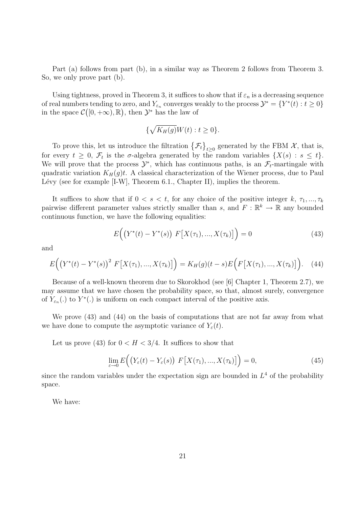Part (a) follows from part (b), in a similar way as Theorem 2 follows from Theorem 3. So, we only prove part (b).

Using tightness, proved in Theorem 3, it suffices to show that if  $\varepsilon_n$  is a decreasing sequence of real numbers tending to zero, and  $Y_{\varepsilon_n}$  converges weakly to the process  $\mathcal{Y}^* = \{Y^*(t) : t \geq 0\}$ in the space  $\mathcal{C}([0, +\infty), \mathbb{R})$ , then  $\mathcal{Y}^*$  has the law of

$$
\{\sqrt{K_H(g)}W(t): t \ge 0\}.
$$

To prove this, let us introduce the filtration  $\{\mathcal{F}_t\}_{t\geq 0}$  generated by the FBM  $\mathcal{X}$ , that is, for every  $t \geq 0$ ,  $\mathcal{F}_t$  is the  $\sigma$ -algebra generated by the random variables  $\{X(s) : s \leq t\}$ . We will prove that the process  $\mathcal{Y}^*$ , which has continuous paths, is an  $\mathcal{F}_t$ -martingale with quadratic variation  $K_H(g)t$ . A classical characterization of the Wiener process, due to Paul Lévy (see for example  $[I-W]$ , Theorem 6.1., Chapter II), implies the theorem.

It suffices to show that if  $0 < s < t$ , for any choice of the positive integer k,  $\tau_1, ..., \tau_k$ pairwise different parameter values strictly smaller than s, and  $F: \mathbb{R}^k \to \mathbb{R}$  any bounded continuous function, we have the following equalities:

$$
E\Big(\big(Y^*(t) - Y^*(s)\big) \ F\big[X(\tau_1), ..., X(\tau_k)\big]\Big) = 0 \tag{43}
$$

and

$$
E\Big(\big(Y^*(t) - Y^*(s)\big)^2 \ F\big[X(\tau_1), ..., X(\tau_k)\big]\Big) = K_H(g)(t-s)E\Big(F\big[X(\tau_1), ..., X(\tau_k)\big]\Big). \tag{44}
$$

Because of a well-known theorem due to Skorokhod (see [6] Chapter 1, Theorem 2.7), we may assume that we have chosen the probability space, so that, almost surely, convergence of  $Y_{\varepsilon_n}(.)$  to  $Y^*(.)$  is uniform on each compact interval of the positive axis.

We prove (43) and (44) on the basis of computations that are not far away from what we have done to compute the asymptotic variance of  $Y_{\varepsilon}(t)$ .

Let us prove (43) for  $0 < H < 3/4$ . It suffices to show that

$$
\lim_{\varepsilon \to 0} E\Big(\big(Y_{\varepsilon}(t) - Y_{\varepsilon}(s)\big) F\big[X(\tau_1), ..., X(\tau_k)\big]\Big) = 0,\tag{45}
$$

since the random variables under the expectation sign are bounded in  $L<sup>4</sup>$  of the probability space.

We have: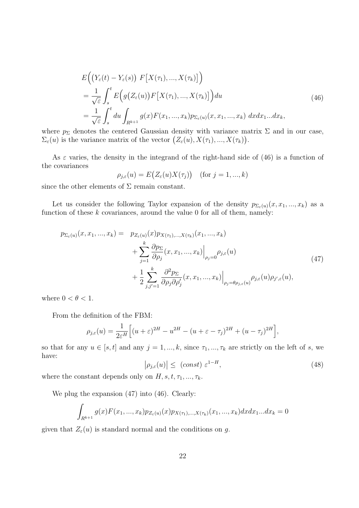$$
E\left(\left(Y_{\varepsilon}(t) - Y_{\varepsilon}(s)\right) F\left[X(\tau_1), ..., X(\tau_k)\right]\right)
$$
  
\n
$$
= \frac{1}{\sqrt{\varepsilon}} \int_s^t E\left(g\left(Z_{\varepsilon}(u)\right) F\left[X(\tau_1), ..., X(\tau_k)\right]\right) du
$$
  
\n
$$
= \frac{1}{\sqrt{\varepsilon}} \int_s^t du \int_{R^{k+1}} g(x) F(x_1, ..., x_k) p_{\Sigma_{\varepsilon}(u)}(x, x_1, ..., x_k) dx dx_1...dx_k,
$$
\n(46)

where  $p_{\Sigma}$  denotes the centered Gaussian density with variance matrix  $\Sigma$  and in our case,  $\Sigma_{\varepsilon}(u)$  is the variance matrix of the vector  $(Z_{\varepsilon}(u), X(\tau_1),..., X(\tau_k)).$ 

As  $\varepsilon$  varies, the density in the integrand of the right-hand side of (46) is a function of the covariances

$$
\rho_{j,\varepsilon}(u) = E(Z_{\varepsilon}(u)X(\tau_j)) \quad (\text{for } j = 1, ..., k)
$$

since the other elements of  $\Sigma$  remain constant.

Let us consider the following Taylor expansion of the density  $p_{\Sigma_{\varepsilon}(u)}(x, x_1, ..., x_k)$  as a function of these  $k$  covariances, around the value 0 for all of them, namely:

$$
p_{\Sigma_{\varepsilon}(u)}(x, x_1, ..., x_k) = p_{Z_{\varepsilon}(u)}(x) p_{X(\tau_1), ..., X(\tau_k)}(x_1, ..., x_k)
$$
  
+ 
$$
\sum_{j=1}^k \frac{\partial p_{\Sigma}}{\partial \rho_j}(x, x_1, ..., x_k) \Big|_{\rho_j=0} \rho_{j,\varepsilon}(u)
$$
  
+ 
$$
\frac{1}{2} \sum_{j,j'=1}^k \frac{\partial^2 p_{\Sigma}}{\partial \rho_j \partial \rho'_j}(x, x_1, ..., x_k) \Big|_{\rho_j=\theta \rho_{j,\varepsilon}(u)} \rho_{j,\varepsilon}(u) \rho_{j',\varepsilon}(u),
$$
\n
$$
(47)
$$

where  $0 < \theta < 1$ .

From the definition of the FBM:

$$
\rho_{j,\varepsilon}(u) = \frac{1}{2\varepsilon^H} \Big[ (u+\varepsilon)^{2H} - u^{2H} - (u+\varepsilon - \tau_j)^{2H} + (u-\tau_j)^{2H} \Big],
$$

so that for any  $u \in [s, t]$  and any  $j = 1, ..., k$ , since  $\tau_1, ..., \tau_k$  are strictly on the left of s, we have:

$$
\left|\rho_{j,\varepsilon}(u)\right| \leq \text{ (const) } \varepsilon^{1-H},\tag{48}
$$

where the constant depends only on  $H, s, t, \tau_1, ..., \tau_k$ .

We plug the expansion (47) into (46). Clearly:

$$
\int_{R^{k+1}} g(x) F(x_1, ..., x_k) p_{Z_{\varepsilon}(u)}(x) p_{X(\tau_1), ..., X(\tau_k)}(x_1, ..., x_k) dx dx_1...dx_k = 0
$$

given that  $Z_{\varepsilon}(u)$  is standard normal and the conditions on g.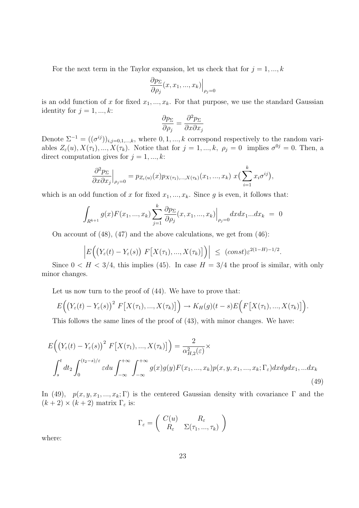For the next term in the Taylor expansion, let us check that for  $j = 1, ..., k$ 

$$
\left. \frac{\partial p_{\Sigma}}{\partial \rho_j}(x, x_1, ..., x_k) \right|_{\rho_j = 0}
$$

is an odd function of x for fixed  $x_1, ..., x_k$ . For that purpose, we use the standard Gaussian identity for  $j = 1, ..., k$ :

$$
\frac{\partial p_{\Sigma}}{\partial \rho_j} = \frac{\partial^2 p_{\Sigma}}{\partial x \partial x_j}
$$

Denote  $\Sigma^{-1} = ((\sigma^{ij})_{i,j=0,1,\dots,k}$ , where  $0,1,...,k$  correspond respectively to the random variables  $Z_{\varepsilon}(u), X(\tau_1), ..., X(\tau_k)$ . Notice that for  $j = 1, ..., k, \rho_j = 0$  implies  $\sigma^{0j} = 0$ . Then, a direct computation gives for  $j = 1, ..., k$ :

$$
\left. \frac{\partial^2 p_{\Sigma}}{\partial x \partial x_j} \right|_{\rho_j=0} = p_{Z_{\varepsilon}(u)}(x) p_{X(\tau_1),...,X(\tau_k)}(x_1,...,x_k) \ x\left(\sum_{i=1}^k x_i \sigma^{ij}\right),
$$

which is an odd function of x for fixed  $x_1, ..., x_k$ . Since g is even, it follows that:

$$
\int_{R^{k+1}} g(x) F(x_1, ..., x_k) \sum_{j=1}^k \frac{\partial p_{\Sigma}}{\partial \rho_j}(x, x_1, ..., x_k) \Big|_{\rho_j=0} dx dx_1...dx_k = 0
$$

On account of (48), (47) and the above calculations, we get from (46):

$$
\left| E\Big(\big(Y_{\varepsilon}(t)-Y_{\varepsilon}(s)\big)\;F\big[X(\tau_1),...,X(\tau_k)\big]\Big)\right| \;\leq\; (const)\varepsilon^{2(1-H)-1/2}.
$$

Since  $0 < H < 3/4$ , this implies (45). In case  $H = 3/4$  the proof is similar, with only minor changes.

Let us now turn to the proof of (44). We have to prove that:

$$
E\Big(\big(Y_{\varepsilon}(t)-Y_{\varepsilon}(s)\big)^2\ F\big[X(\tau_1),...,X(\tau_k)\big]\Big)\to K_H(g)(t-s)E\Big(F\big[X(\tau_1),...,X(\tau_k)\big]\Big).
$$

This follows the same lines of the proof of (43), with minor changes. We have:

$$
E\left(\left(Y_{\varepsilon}(t) - Y_{\varepsilon}(s)\right)^{2} F\left[X(\tau_{1}),...,X(\tau_{k})\right]\right) = \frac{2}{\alpha_{H,2}^{2}(\varepsilon)} \times
$$

$$
\int_{s}^{t} dt_{2} \int_{0}^{(t_{2}-s)/\varepsilon} \varepsilon du \int_{-\infty}^{+\infty} \int_{-\infty}^{+\infty} g(x)g(y)F(x_{1},...,x_{k})p(x,y,x_{1},...,x_{k};\Gamma_{\varepsilon})dxdydx_{1},...dx_{k}
$$
(49)

In (49),  $p(x, y, x_1, ..., x_k; \Gamma)$  is the centered Gaussian density with covariance  $\Gamma$  and the  $(k+2) \times (k+2)$  matrix  $\Gamma_{\varepsilon}$  is:

$$
\Gamma_{\varepsilon} = \begin{pmatrix} C(u) & R_{\varepsilon} \\ R_{\varepsilon} & \Sigma(\tau_1, ..., \tau_k) \end{pmatrix}
$$

where: